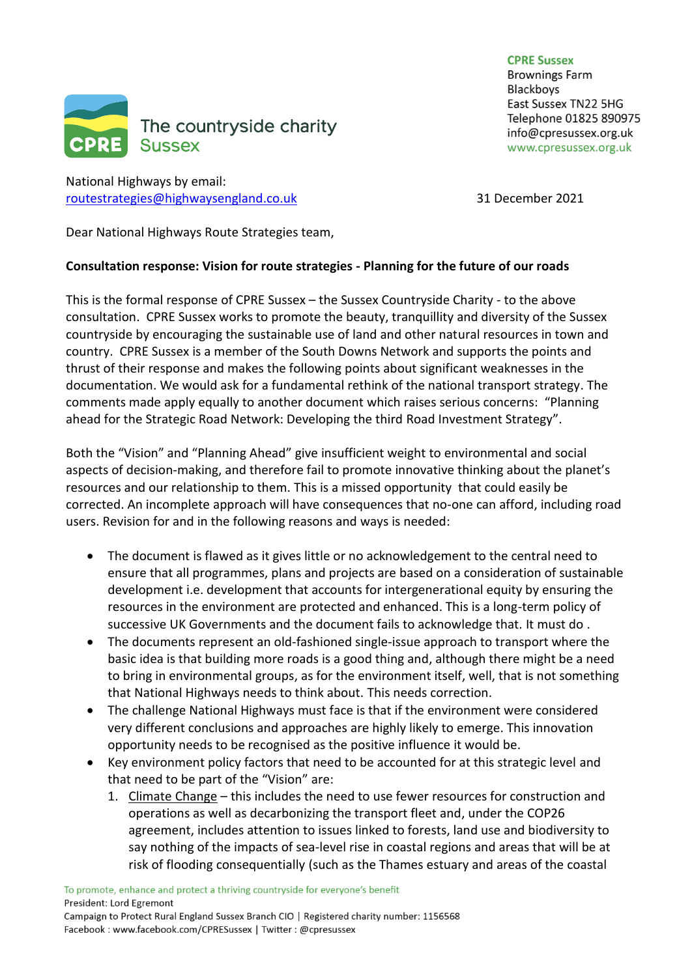

National Highways by email: [routestrategies@highwaysengland.co.uk](mailto:routestrategies@highwaysengland.co.uk) 31 December 2021

**CPRF SUSSAY Brownings Farm Blackboys** East Sussex TN22 5HG Telephone 01825 890975 info@cpresussex.org.uk www.cpresussex.org.uk

Dear National Highways Route Strategies team,

## **Consultation response: Vision for route strategies - Planning for the future of our roads**

This is the formal response of CPRE Sussex – the Sussex Countryside Charity - to the above consultation. CPRE Sussex works to promote the beauty, tranquillity and diversity of the Sussex countryside by encouraging the sustainable use of land and other natural resources in town and country. CPRE Sussex is a member of the South Downs Network and supports the points and thrust of their response and makes the following points about significant weaknesses in the documentation. We would ask for a fundamental rethink of the national transport strategy. The comments made apply equally to another document which raises serious concerns: "Planning ahead for the Strategic Road Network: Developing the third Road Investment Strategy".

Both the "Vision" and "Planning Ahead" give insufficient weight to environmental and social aspects of decision-making, and therefore fail to promote innovative thinking about the planet's resources and our relationship to them. This is a missed opportunity that could easily be corrected. An incomplete approach will have consequences that no-one can afford, including road users. Revision for and in the following reasons and ways is needed:

- The document is flawed as it gives little or no acknowledgement to the central need to ensure that all programmes, plans and projects are based on a consideration of sustainable development i.e. development that accounts for intergenerational equity by ensuring the resources in the environment are protected and enhanced. This is a long-term policy of successive UK Governments and the document fails to acknowledge that. It must do .
- The documents represent an old-fashioned single-issue approach to transport where the basic idea is that building more roads is a good thing and, although there might be a need to bring in environmental groups, as for the environment itself, well, that is not something that National Highways needs to think about. This needs correction.
- The challenge National Highways must face is that if the environment were considered very different conclusions and approaches are highly likely to emerge. This innovation opportunity needs to be recognised as the positive influence it would be.
- Key environment policy factors that need to be accounted for at this strategic level and that need to be part of the "Vision" are:
	- 1. Climate Change this includes the need to use fewer resources for construction and operations as well as decarbonizing the transport fleet and, under the COP26 agreement, includes attention to issues linked to forests, land use and biodiversity to say nothing of the impacts of sea-level rise in coastal regions and areas that will be at risk of flooding consequentially (such as the Thames estuary and areas of the coastal

Facebook: www.facebook.com/CPRESussex | Twitter: @cpresussex